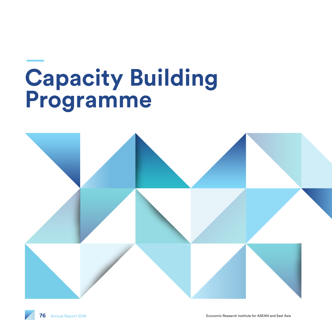# **Capacity Building Programme**

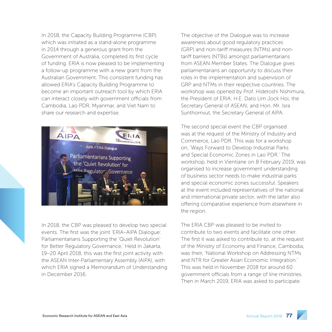In 2018, the Capacity Building Programme (CBP), which was initiated as a stand-alone programme in 2014 through a generous grant from the Government of Australia, completed its first cycle of funding. ERIA is now pleased to be implementing a follow-up programme with a new grant from the Australian Government. This consistent funding has allowed ERIA's Capacity Building Programme to become an important outreach tool by which ERIA can interact closely with government officials from Cambodia, Lao PDR, Myanmar, and Viet Nam to share our research and expertise.



In 2018, the CBP was pleased to develop two special events. The first was the joint 'ERIA–AIPA Dialogue: Parliamentarians Supporting the 'Quiet Revolution' for Better Regulatory Governance.' Held in Jakarta, 19–20 April 2018, this was the first joint activity with the ASEAN Inter-Parliamentary Assembly (AIPA), with which ERIA signed a Memorandum of Understanding in December 2016.

The objective of the Dialogue was to increase awareness about good regulatory practices (GRP) and non-tariff measures (NTMs) and nontariff barriers (NTBs) amongst parliamentarians from ASEAN Member States. The Dialogue gives parliamentarians an opportunity to discuss their roles in the implementation and supervision of GRP and NTMs in their respective countries. The workshop was opened by Prof. Hidetoshi Nishimura, the President of ERIA; H.E. Dato Lim Jock Hoi, the Secretary General of ASEAN; and Hon. Mr. Isra Sunthornvut, the Secretary General of AIPA.

The second special event the CBP organised was at the request of the Ministry of Industry and Commerce, Lao PDR. This was for a workshop on, 'Ways Forward to Develop Industrial Parks and Special Economic Zones in Lao PDR.' The workshop, held in Vientiane on 8 February 2019, was organised to increase government understanding of business sector needs to make industrial parks and special economic zones successful. Speakers at the event included representatives of the national and international private sector, with the latter also offering comparative experience from elsewhere in the region.

The ERIA CBP was pleased to be invited to contribute to two events and facilitate one other. The first it was asked to contribute to, at the request of the Ministry of Economy and Finance, Cambodia, was their, 'National Workshop on Addressing NTMs and NTR for Greater Asian Economic Integration.' This was held in November 2018 for around 60 government officials from a range of line ministries. Then in March 2019, ERIA was asked to participate

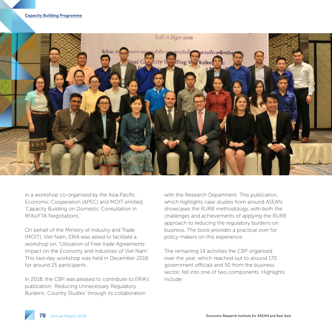

in a workshop co-organised by the Asia-Pacific Economic Cooperation (APEC) and MOIT entitled, 'Capacity Building on Domestic Consultation in RFAs/FTA Negotiations.'

On behalf of the Ministry of Industry and Trade (MOIT), Viet Nam, ERIA was asked to facilitate a workshop on, 'Utilisation of Free trade Agreements: Impact on the Economy and Industries of Viet Nam'. This two-day workshop was held in December 2018 for around 25 participants.

In 2018, the CBP was pleased to contribute to ERIA's publication, 'Reducing Unnecessary Regulatory Burdens: Country Studies' through its collaboration

with the Research Department. This publication, which highlights case studies from around ASEAN, showcases the RURB methodology, with both the challenges and achievements of applying the RURB approach to reducing the regulatory burdens on business. The book provides a practical over for policy makers on this experience.

The remaining 14 activities the CBP organised over the year, which reached out to around 170 government officials and 50 from the business sector, fell into one of two components. Highlights include: